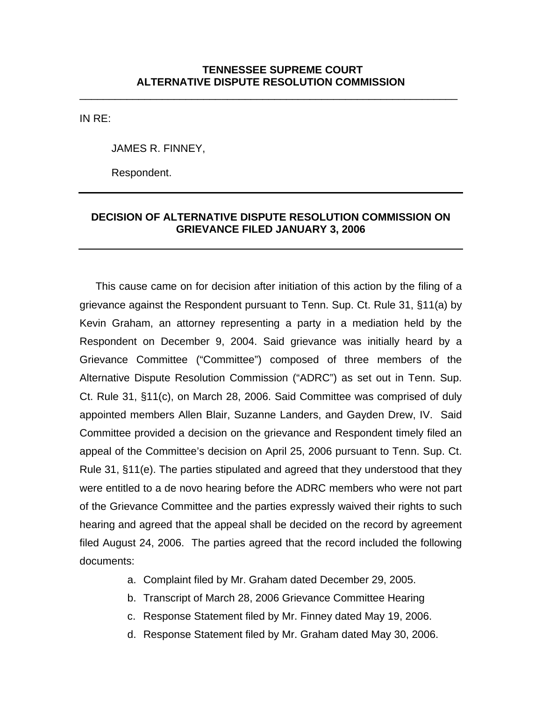\_\_\_\_\_\_\_\_\_\_\_\_\_\_\_\_\_\_\_\_\_\_\_\_\_\_\_\_\_\_\_\_\_\_\_\_\_\_\_\_\_\_\_\_\_\_\_\_\_\_\_\_\_\_\_\_\_\_\_\_\_\_\_\_

IN RE:

JAMES R. FINNEY,

Respondent.

## **DECISION OF ALTERNATIVE DISPUTE RESOLUTION COMMISSION ON GRIEVANCE FILED JANUARY 3, 2006**

This cause came on for decision after initiation of this action by the filing of a grievance against the Respondent pursuant to Tenn. Sup. Ct. Rule 31, §11(a) by Kevin Graham, an attorney representing a party in a mediation held by the Respondent on December 9, 2004. Said grievance was initially heard by a Grievance Committee ("Committee") composed of three members of the Alternative Dispute Resolution Commission ("ADRC") as set out in Tenn. Sup. Ct. Rule 31, §11(c), on March 28, 2006. Said Committee was comprised of duly appointed members Allen Blair, Suzanne Landers, and Gayden Drew, IV. Said Committee provided a decision on the grievance and Respondent timely filed an appeal of the Committee's decision on April 25, 2006 pursuant to Tenn. Sup. Ct. Rule 31, §11(e). The parties stipulated and agreed that they understood that they were entitled to a de novo hearing before the ADRC members who were not part of the Grievance Committee and the parties expressly waived their rights to such hearing and agreed that the appeal shall be decided on the record by agreement filed August 24, 2006. The parties agreed that the record included the following documents:

- a. Complaint filed by Mr. Graham dated December 29, 2005.
- b. Transcript of March 28, 2006 Grievance Committee Hearing
- c. Response Statement filed by Mr. Finney dated May 19, 2006.
- d. Response Statement filed by Mr. Graham dated May 30, 2006.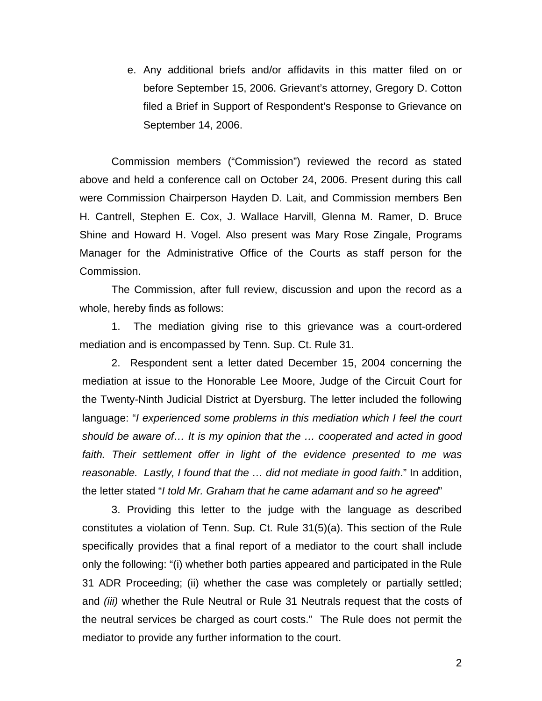e. Any additional briefs and/or affidavits in this matter filed on or before September 15, 2006. Grievant's attorney, Gregory D. Cotton filed a Brief in Support of Respondent's Response to Grievance on September 14, 2006.

Commission members ("Commission") reviewed the record as stated above and held a conference call on October 24, 2006. Present during this call were Commission Chairperson Hayden D. Lait, and Commission members Ben H. Cantrell, Stephen E. Cox, J. Wallace Harvill, Glenna M. Ramer, D. Bruce Shine and Howard H. Vogel. Also present was Mary Rose Zingale, Programs Manager for the Administrative Office of the Courts as staff person for the Commission.

The Commission, after full review, discussion and upon the record as a whole, hereby finds as follows:

1. The mediation giving rise to this grievance was a court-ordered mediation and is encompassed by Tenn. Sup. Ct. Rule 31.

2. Respondent sent a letter dated December 15, 2004 concerning the mediation at issue to the Honorable Lee Moore, Judge of the Circuit Court for the Twenty-Ninth Judicial District at Dyersburg. The letter included the following language: "*I experienced some problems in this mediation which I feel the court should be aware of… It is my opinion that the … cooperated and acted in good faith. Their settlement offer in light of the evidence presented to me was reasonable. Lastly, I found that the … did not mediate in good faith*." In addition, the letter stated "*I told Mr. Graham that he came adamant and so he agreed*"

3. Providing this letter to the judge with the language as described constitutes a violation of Tenn. Sup. Ct. Rule 31(5)(a). This section of the Rule specifically provides that a final report of a mediator to the court shall include only the following: "(i) whether both parties appeared and participated in the Rule 31 ADR Proceeding; (ii) whether the case was completely or partially settled; and *(iii)* whether the Rule Neutral or Rule 31 Neutrals request that the costs of the neutral services be charged as court costs." The Rule does not permit the mediator to provide any further information to the court.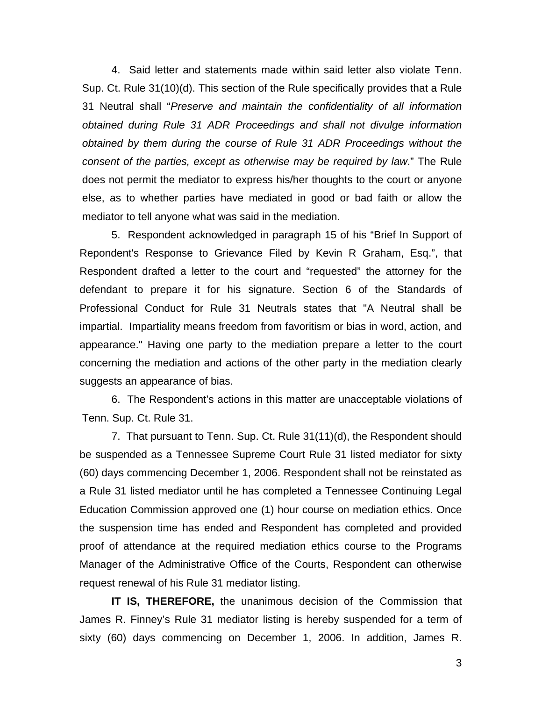4. Said letter and statements made within said letter also violate Tenn. Sup. Ct. Rule 31(10)(d). This section of the Rule specifically provides that a Rule 31 Neutral shall "*Preserve and maintain the confidentiality of all information obtained during Rule 31 ADR Proceedings and shall not divulge information obtained by them during the course of Rule 31 ADR Proceedings without the consent of the parties, except as otherwise may be required by law*." The Rule does not permit the mediator to express his/her thoughts to the court or anyone else, as to whether parties have mediated in good or bad faith or allow the mediator to tell anyone what was said in the mediation.

5. Respondent acknowledged in paragraph 15 of his "Brief In Support of Repondent's Response to Grievance Filed by Kevin R Graham, Esq.", that Respondent drafted a letter to the court and "requested" the attorney for the defendant to prepare it for his signature. Section 6 of the Standards of Professional Conduct for Rule 31 Neutrals states that "A Neutral shall be impartial. Impartiality means freedom from favoritism or bias in word, action, and appearance." Having one party to the mediation prepare a letter to the court concerning the mediation and actions of the other party in the mediation clearly suggests an appearance of bias.

6. The Respondent's actions in this matter are unacceptable violations of Tenn. Sup. Ct. Rule 31.

7. That pursuant to Tenn. Sup. Ct. Rule 31(11)(d), the Respondent should be suspended as a Tennessee Supreme Court Rule 31 listed mediator for sixty (60) days commencing December 1, 2006. Respondent shall not be reinstated as a Rule 31 listed mediator until he has completed a Tennessee Continuing Legal Education Commission approved one (1) hour course on mediation ethics. Once the suspension time has ended and Respondent has completed and provided proof of attendance at the required mediation ethics course to the Programs Manager of the Administrative Office of the Courts, Respondent can otherwise request renewal of his Rule 31 mediator listing.

**IT IS, THEREFORE,** the unanimous decision of the Commission that James R. Finney's Rule 31 mediator listing is hereby suspended for a term of sixty (60) days commencing on December 1, 2006. In addition, James R.

3